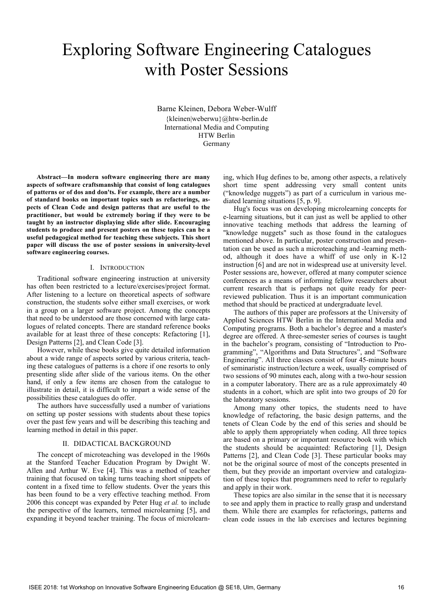# Exploring Software Engineering Catalogues with Poster Sessions

Barne Kleinen, Debora Weber-Wulff {kleinen|weberwu}@htw-berlin.de International Media and Computing HTW Berlin Germany

**Abstract—In modern software engineering there are many aspects of software craftsmanship that consist of long catalogues of patterns or of dos and don'ts. For example, there are a number of standard books on important topics such as refactorings, aspects of Clean Code and design patterns that are useful to the practitioner, but would be extremely boring if they were to be taught by an instructor displaying slide after slide. Encouraging students to produce and present posters on these topics can be a useful pedagogical method for teaching these subjects. This short paper will discuss the use of poster sessions in university-level software engineering courses.**

# I. INTRODUCTION

Traditional software engineering instruction at university has often been restricted to a lecture/exercises/project format. After listening to a lecture on theoretical aspects of software construction, the students solve either small exercises, or work in a group on a larger software project. Among the concepts that need to be understood are those concerned with large catalogues of related concepts. There are standard reference books available for at least three of these concepts: Refactoring [1], Design Patterns [2], and Clean Code [3].

However, while these books give quite detailed information about a wide range of aspects sorted by various criteria, teaching these catalogues of patterns is a chore if one resorts to only presenting slide after slide of the various items. On the other hand, if only a few items are chosen from the catalogue to illustrate in detail, it is difficult to impart a wide sense of the possibilities these catalogues do offer.

The authors have successfully used a number of variations on setting up poster sessions with students about these topics over the past few years and will be describing this teaching and learning method in detail in this paper.

# II. DIDACTICAL BACKGROUND

The concept of microteaching was developed in the 1960s at the Stanford Teacher Education Program by Dwight W. Allen and Arthur W. Eve [4]. This was a method of teacher training that focused on taking turns teaching short snippets of content in a fixed time to fellow students. Over the years this has been found to be a very effective teaching method. From 2006 this concept was expanded by Peter Hug *et al.* to include the perspective of the learners, termed microlearning [5], and expanding it beyond teacher training. The focus of microlearning, which Hug defines to be, among other aspects, a relatively short time spent addressing very small content units ("knowledge nuggets") as part of a curriculum in various mediated learning situations [5, p. 9].

Hug's focus was on developing microlearning concepts for e-learning situations, but it can just as well be applied to other innovative teaching methods that address the learning of "knowledge nuggets" such as those found in the catalogues mentioned above. In particular, poster construction and presentation can be used as such a microteaching and -learning method, although it does have a whiff of use only in K-12 instruction [6] and are not in widespread use at university level. Poster sessions are, however, offered at many computer science conferences as a means of informing fellow researchers about current research that is perhaps not quite ready for peerreviewed publication. Thus it is an important communication method that should be practiced at undergraduate level.

The authors of this paper are professors at the University of Applied Sciences HTW Berlin in the International Media and Computing programs. Both a bachelor's degree and a master's degree are offered. A three-semester series of courses is taught in the bachelor's program, consisting of "Introduction to Programming", "Algorithms and Data Structures", and "Software Engineering". All three classes consist of four 45-minute hours of seminaristic instruction/lecture a week, usually comprised of two sessions of 90 minutes each, along with a two-hour session in a computer laboratory. There are as a rule approximately 40 students in a cohort, which are split into two groups of 20 for the laboratory sessions.

Among many other topics, the students need to have knowledge of refactoring, the basic design patterns, and the tenets of Clean Code by the end of this series and should be able to apply them appropriately when coding. All three topics are based on a primary or important resource book with which the students should be acquainted: Refactoring [1], Design Patterns [2], and Clean Code [3]. These particular books may not be the original source of most of the concepts presented in them, but they provide an important overview and catalogization of these topics that programmers need to refer to regularly and apply in their work.

These topics are also similar in the sense that it is necessary to see and apply them in practice to really grasp and understand them. While there are examples for refactorings, patterns and clean code issues in the lab exercises and lectures beginning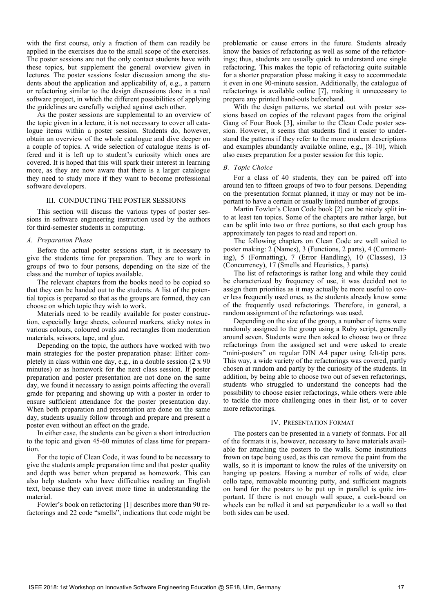with the first course, only a fraction of them can readily be applied in the exercises due to the small scope of the exercises. The poster sessions are not the only contact students have with these topics, but supplement the general overview given in lectures. The poster sessions foster discussion among the students about the application and applicability of, e.g., a pattern or refactoring similar to the design discussions done in a real software project, in which the different possibilities of applying the guidelines are carefully weighed against each other.

As the poster sessions are supplemental to an overview of the topic given in a lecture, it is not necessary to cover all catalogue items within a poster session. Students do, however, obtain an overview of the whole catalogue and dive deeper on a couple of topics. A wide selection of catalogue items is offered and it is left up to student's curiosity which ones are covered. It is hoped that this will spark their interest in learning more, as they are now aware that there is a larger catalogue they need to study more if they want to become professional software developers.

#### III. CONDUCTING THE POSTER SESSIONS

This section will discuss the various types of poster sessions in software engineering instruction used by the authors for third-semester students in computing.

#### *A. Preparation Phase*

Before the actual poster sessions start, it is necessary to give the students time for preparation. They are to work in groups of two to four persons, depending on the size of the class and the number of topics available.

The relevant chapters from the books need to be copied so that they can be handed out to the students. A list of the potential topics is prepared so that as the groups are formed, they can choose on which topic they wish to work.

Materials need to be readily available for poster construction, especially large sheets, coloured markers, sticky notes in various colours, coloured ovals and rectangles from moderation materials, scissors, tape, and glue.

Depending on the topic, the authors have worked with two main strategies for the poster preparation phase: Either completely in class within one day, e.g., in a double session (2 x 90 minutes) or as homework for the next class session. If poster preparation and poster presentation are not done on the same day, we found it necessary to assign points affecting the overall grade for preparing and showing up with a poster in order to ensure sufficient attendance for the poster presentation day. When both preparation and presentation are done on the same day, students usually follow through and prepare and present a poster even without an effect on the grade.

In either case, the students can be given a short introduction to the topic and given 45-60 minutes of class time for preparation.

For the topic of Clean Code, it was found to be necessary to give the students ample preparation time and that poster quality and depth was better when prepared as homework. This can also help students who have difficulties reading an English text, because they can invest more time in understanding the material.

Fowler's book on refactoring [1] describes more than 90 refactorings and 22 code "smells", indications that code might be problematic or cause errors in the future. Students already know the basics of refactoring as well as some of the refactorings; thus, students are usually quick to understand one single refactoring. This makes the topic of refactoring quite suitable for a shorter preparation phase making it easy to accommodate it even in one 90-minute session. Additionally, the catalogue of refactorings is available online [7], making it unnecessary to prepare any printed hand-outs beforehand.

With the design patterns, we started out with poster sessions based on copies of the relevant pages from the original Gang of Four Book [3], similar to the Clean Code poster session. However, it seems that students find it easier to understand the patterns if they refer to the more modern descriptions and examples abundantly available online, e.g., [8–10], which also eases preparation for a poster session for this topic.

### *B. Topic Choice*

For a class of 40 students, they can be paired off into around ten to fifteen groups of two to four persons. Depending on the presentation format planned, it may or may not be important to have a certain or usually limited number of groups.

Martin Fowler's Clean Code book [2] can be nicely split into at least ten topics. Some of the chapters are rather large, but can be split into two or three portions, so that each group has approximately ten pages to read and report on.

The following chapters on Clean Code are well suited to poster making: 2 (Names), 3 (Functions, 2 parts), 4 (Commenting), 5 (Formatting), 7 (Error Handling), 10 (Classes), 13 (Concurrency), 17 (Smells and Heuristics, 3 parts).

The list of refactorings is rather long and while they could be characterized by frequency of use, it was decided not to assign them priorities as it may actually be more useful to cover less frequently used ones, as the students already know some of the frequently used refactorings. Therefore, in general, a random assignment of the refactorings was used.

Depending on the size of the group, a number of items were randomly assigned to the group using a Ruby script, generally around seven. Students were then asked to choose two or three refactorings from the assigned set and were asked to create "mini-posters" on regular DIN A4 paper using felt-tip pens. This way, a wide variety of the refactorings was covered, partly chosen at random and partly by the curiosity of the students. In addition, by being able to choose two out of seven refactorings, students who struggled to understand the concepts had the possibility to choose easier refactorings, while others were able to tackle the more challenging ones in their list, or to cover more refactorings.

### IV. PRESENTATION FORMAT

The posters can be presented in a variety of formats. For all of the formats it is, however, necessary to have materials available for attaching the posters to the walls. Some institutions frown on tape being used, as this can remove the paint from the walls, so it is important to know the rules of the university on hanging up posters. Having a number of rolls of wide, clear cello tape, removable mounting putty, and sufficient magnets on hand for the posters to be put up in parallel is quite important. If there is not enough wall space, a cork-board on wheels can be rolled it and set perpendicular to a wall so that both sides can be used.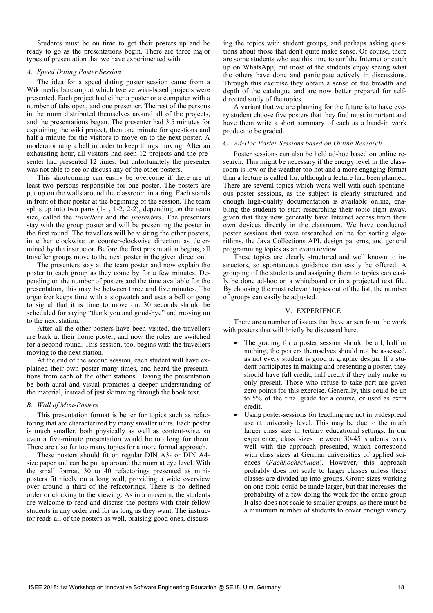Students must be on time to get their posters up and be ready to go as the presentations begin. There are three major types of presentation that we have experimented with.

### *A. Speed Dating Poster Session*

The idea for a speed dating poster session came from a Wikimedia barcamp at which twelve wiki-based projects were presented. Each project had either a poster or a computer with a number of tabs open, and one presenter. The rest of the persons in the room distributed themselves around all of the projects, and the presentations began. The presenter had 3.5 minutes for explaining the wiki project, then one minute for questions and half a minute for the visitors to move on to the next poster. A moderator rang a bell in order to keep things moving. After an exhausting hour, all visitors had seen 12 projects and the presenter had presented 12 times, but unfortunately the presenter was not able to see or discuss any of the other posters.

This shortcoming can easily be overcome if there are at least two persons responsible for one poster. The posters are put up on the walls around the classroom in a ring. Each stands in front of their poster at the beginning of the session. The team splits up into two parts (1-1, 1-2, 2-2), depending on the team size, called the *travellers* and the *presenters*. The presenters stay with the group poster and will be presenting the poster in the first round. The travellers will be visiting the other posters, in either clockwise or counter-clockwise direction as determined by the instructor. Before the first presentation begins, all traveller groups move to the next poster in the given direction.

The presenters stay at the team poster and now explain the poster to each group as they come by for a few minutes. Depending on the number of posters and the time available for the presentation, this may be between three and five minutes. The organizer keeps time with a stopwatch and uses a bell or gong to signal that it is time to move on. 30 seconds should be scheduled for saying "thank you and good-bye" and moving on to the next station.

After all the other posters have been visited, the travellers are back at their home poster, and now the roles are switched for a second round. This session, too, begins with the travellers moving to the next station.

At the end of the second session, each student will have explained their own poster many times, and heard the presentations from each of the other stations. Having the presentation be both aural and visual promotes a deeper understanding of the material, instead of just skimming through the book text.

# *B. Wall of Mini-Posters*

This presentation format is better for topics such as refactoring that are characterized by many smaller units. Each poster is much smaller, both physically as well as content-wise, so even a five-minute presentation would be too long for them. There are also far too many topics for a more formal approach.

These posters should fit on regular DIN A3- or DIN A4 size paper and can be put up around the room at eye level. With the small format, 30 to 40 refactorings presented as miniposters fit nicely on a long wall, providing a wide overview over around a third of the refactorings. There is no defined order or clocking to the viewing. As in a museum, the students are welcome to read and discuss the posters with their fellow students in any order and for as long as they want. The instructor reads all of the posters as well, praising good ones, discussing the topics with student groups, and perhaps asking questions about those that don't quite make sense. Of course, there are some students who use this time to surf the Internet or catch up on WhatsApp, but most of the students enjoy seeing what the others have done and participate actively in discussions. Through this exercise they obtain a sense of the breadth and depth of the catalogue and are now better prepared for selfdirected study of the topics.

A variant that we are planning for the future is to have every student choose five posters that they find most important and have them write a short summary of each as a hand-in work product to be graded.

# *C. Ad-Hoc Poster Sessions based on Online Research*

Poster sessions can also be held ad-hoc based on online research. This might be necessary if the energy level in the classroom is low or the weather too hot and a more engaging format than a lecture is called for, although a lecture had been planned. There are several topics which work well with such spontaneous poster sessions, as the subject is clearly structured and enough high-quality documentation is available online, enabling the students to start researching their topic right away, given that they now generally have Internet access from their own devices directly in the classroom. We have conducted poster sessions that were researched online for sorting algorithms, the Java Collections API, design patterns, and general programming topics as an exam review.

These topics are clearly structured and well known to instructors, so spontaneous guidance can easily be offered. A grouping of the students and assigning them to topics can easily be done ad-hoc on a whiteboard or in a projected text file. By choosing the most relevant topics out of the list, the number of groups can easily be adjusted.

#### V. EXPERIENCE

There are a number of issues that have arisen from the work with posters that will briefly be discussed here.

- The grading for a poster session should be all, half or nothing, the posters themselves should not be assessed, as not every student is good at graphic design. If a student participates in making and presenting a poster, they should have full credit, half credit if they only make or only present. Those who refuse to take part are given zero points for this exercise. Generally, this could be up to 5% of the final grade for a course, or used as extra credit.
- Using poster-sessions for teaching are not in widespread use at university level. This may be due to the much larger class size in tertiary educational settings. In our experience, class sizes between 30-45 students work well with the approach presented, which correspond with class sizes at German universities of applied sciences (*Fachhochschulen*). However, this approach probably does not scale to larger classes unless these classes are divided up into groups. Group sizes working on one topic could be made larger, but that increases the probability of a few doing the work for the entire group It also does not scale to smaller groups, as there must be a minimum number of students to cover enough variety